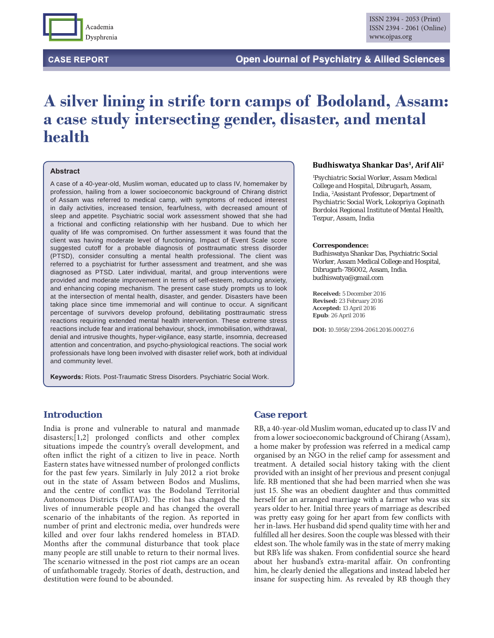

**CASE REPORT** 

# **A silver lining in strife torn camps of Bodoland, Assam: a case study intersecting gender, disaster, and mental health**

#### **Abstract**

A case of a 40-year-old, Muslim woman, educated up to class IV, homemaker by profession, hailing from a lower socioeconomic background of Chirang district of Assam was referred to medical camp, with symptoms of reduced interest in daily activities, increased tension, fearfulness, with decreased amount of sleep and appetite. Psychiatric social work assessment showed that she had a frictional and conflicting relationship with her husband. Due to which her quality of life was compromised. On further assessment it was found that the client was having moderate level of functioning. Impact of Event Scale score suggested cutoff for a probable diagnosis of posttraumatic stress disorder (PTSD), consider consulting a mental health professional. The client was referred to a psychiatrist for further assessment and treatment, and she was diagnosed as PTSD. Later individual, marital, and group interventions were provided and moderate improvement in terms of self-esteem, reducing anxiety, and enhancing coping mechanism. The present case study prompts us to look at the intersection of mental health, disaster, and gender. Disasters have been taking place since time immemorial and will continue to occur. A significant percentage of survivors develop profound, debilitating posttraumatic stress reactions requiring extended mental health intervention. These extreme stress reactions include fear and irrational behaviour, shock, immobilisation, withdrawal, denial and intrusive thoughts, hyper-vigilance, easy startle, insomnia, decreased attention and concentration, and psycho-physiological reactions. The social work professionals have long been involved with disaster relief work, both at individual and community level.

**Keywords:** Riots. Post-Traumatic Stress Disorders. Psychiatric Social Work.

#### **Budhiswatya Shankar Das1, Arif Ali2**

*1 Psychiatric Social Worker, Assam Medical College and Hospital, Dibrugarh, Assam, India, 2 Assistant Professor, Department of Psychiatric Social Work, Lokopriya Gopinath Bordoloi Regional Institute of Mental Health, Tezpur, Assam, India*

#### **Correspondence:**

Budhiswatya Shankar Das, Psychiatric Social Worker, Assam Medical College and Hospital, Dibrugarh-786002, Assam, India. budhiswatya@gmail.com

**Received:** 5 December 2016 **Revised:** 23 February 2016 **Accepted:** 13 April 2016 **Epub**: 26 April 2016

**DOI:** 10.5958/2394-2061.2016.00027.6

# **Introduction**

India is prone and vulnerable to natural and manmade  $disasters; [1,2]$  prolonged conflicts and other complex situations impede the country's overall development, and often inflict the right of a citizen to live in peace. North Eastern states have witnessed number of prolonged conflicts for the past few years. Similarly in July 2012 a riot broke out in the state of Assam between Bodos and Muslims, and the centre of conflict was the Bodoland Territorial Autonomous Districts (BTAD). The riot has changed the lives of innumerable people and has changed the overall scenario of the inhabitants of the region. As reported in number of print and electronic media, over hundreds were killed and over four lakhs rendered homeless in BTAD. Months after the communal disturbance that took place many people are still unable to return to their normal lives. The scenario witnessed in the post riot camps are an ocean of unfathomable tragedy. Stories of death, destruction, and destitution were found to be abounded.

## **Case report**

RB, a 40-year-old Muslim woman, educated up to class IV and from a lower socioeconomic background of Chirang (Assam), a home maker by profession was referred in a medical camp organised by an NGO in the relief camp for assessment and treatment. A detailed social history taking with the client provided with an insight of her previous and present conjugal life. RB mentioned that she had been married when she was just 15. She was an obedient daughter and thus committed herself for an arranged marriage with a farmer who was six years older to her. Initial three years of marriage as described was pretty easy going for her apart from few conflicts with her in-laws. Her husband did spend quality time with her and fulfilled all her desires. Soon the couple was blessed with their eldest son. The whole family was in the state of merry making but RB's life was shaken. From confidential source she heard about her husband's extra-marital affair. On confronting him, he clearly denied the allegations and instead labeled her insane for suspecting him. As revealed by RB though they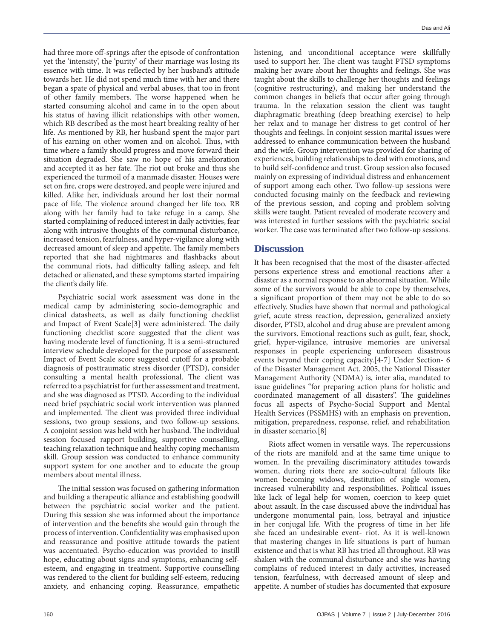had three more off-springs after the episode of confrontation yet the 'intensity', the 'purity' of their marriage was losing its essence with time. It was reflected by her husband's attitude towards her. He did not spend much time with her and there began a spate of physical and verbal abuses, that too in front of other family members. The worse happened when he started consuming alcohol and came in to the open about his status of having illicit relationships with other women, which RB described as the most heart breaking reality of her life. As mentioned by RB, her husband spent the major part of his earning on other women and on alcohol. Thus, with time where a family should progress and move forward their situation degraded. She saw no hope of his amelioration and accepted it as her fate. The riot out broke and thus she experienced the turmoil of a manmade disaster. Houses were set on fire, crops were destroyed, and people were injured and killed. Alike her, individuals around her lost their normal pace of life. The violence around changed her life too. RB along with her family had to take refuge in a camp. She started complaining of reduced interest in daily activities, fear along with intrusive thoughts of the communal disturbance, increased tension, fearfulness, and hyper-vigilance along with decreased amount of sleep and appetite. The family members reported that she had nightmares and flashbacks about the communal riots, had difficulty falling asleep, and felt detached or alienated, and these symptoms started impairing the client's daily life.

Psychiatric social work assessment was done in the medical camp by administering socio-demographic and clinical datasheets, as well as daily functioning checklist and Impact of Event Scale[3] were administered. The daily functioning checklist score suggested that the client was having moderate level of functioning. It is a semi-structured interview schedule developed for the purpose of assessment. Impact of Event Scale score suggested cutoff for a probable diagnosis of posttraumatic stress disorder (PTSD), consider consulting a mental health professional. The client was referred to a psychiatrist for further assessment and treatment, and she was diagnosed as PTSD. According to the individual need brief psychiatric social work intervention was planned and implemented. The client was provided three individual sessions, two group sessions, and two follow-up sessions. A conjoint session was held with her husband. The individual session focused rapport building, supportive counselling, teaching relaxation technique and healthy coping mechanism skill. Group session was conducted to enhance community support system for one another and to educate the group members about mental illness.

The initial session was focused on gathering information and building a therapeutic alliance and establishing goodwill between the psychiatric social worker and the patient. During this session she was informed about the importance of intervention and the benefits she would gain through the process of intervention. Confidentiality was emphasised upon and reassurance and positive attitude towards the patient was accentuated. Psycho-education was provided to instill hope, educating about signs and symptoms, enhancing selfesteem, and engaging in treatment. Supportive counselling was rendered to the client for building self-esteem, reducing anxiety, and enhancing coping. Reassurance, empathetic

listening, and unconditional acceptance were skillfully used to support her. The client was taught PTSD symptoms making her aware about her thoughts and feelings. She was taught about the skills to challenge her thoughts and feelings (cognitive restructuring), and making her understand the common changes in beliefs that occur after going through trauma. In the relaxation session the client was taught diaphragmatic breathing (deep breathing exercise) to help her relax and to manage her distress to get control of her thoughts and feelings. In conjoint session marital issues were addressed to enhance communication between the husband and the wife. Group intervention was provided for sharing of experiences, building relationships to deal with emotions, and to build self-confidence and trust. Group session also focused mainly on expressing of individual distress and enhancement of support among each other. Two follow-up sessions were conducted focusing mainly on the feedback and reviewing of the previous session, and coping and problem solving skills were taught. Patient revealed of moderate recovery and was interested in further sessions with the psychiatric social worker. The case was terminated after two follow-up sessions.

# **Discussion**

It has been recognised that the most of the disaster-affected persons experience stress and emotional reactions after a disaster as a normal response to an abnormal situation. While some of the survivors would be able to cope by themselves, a significant proportion of them may not be able to do so effectively. Studies have shown that normal and pathological grief, acute stress reaction, depression, generalized anxiety disorder, PTSD, alcohol and drug abuse are prevalent among the survivors. Emotional reactions such as guilt, fear, shock, grief, hyper-vigilance, intrusive memories are universal responses in people experiencing unforeseen disastrous events beyond their coping capacity.[4-7] Under Section- 6 of the Disaster Management Act. 2005, the National Disaster Management Authority (NDMA) is, inter alia, mandated to issue guidelines "for preparing action plans for holistic and coordinated management of all disasters". The guidelines focus all aspects of Psycho-Social Support and Mental Health Services (PSSMHS) with an emphasis on prevention, mitigation, preparedness, response, relief, and rehabilitation in disaster scenario.[8]

Riots affect women in versatile ways. The repercussions of the riots are manifold and at the same time unique to women. In the prevailing discriminatory attitudes towards women, during riots there are socio-cultural fallouts like women becoming widows, destitution of single women, increased vulnerability and responsibilities. Political issues like lack of legal help for women, coercion to keep quiet about assault. In the case discussed above the individual has undergone monumental pain, loss, betrayal and injustice in her conjugal life. With the progress of time in her life she faced an undesirable event- riot. As it is well-known that mastering changes in life situations is part of human existence and that is what RB has tried all throughout. RB was shaken with the communal disturbance and she was having complains of reduced interest in daily activities, increased tension, fearfulness, with decreased amount of sleep and appetite. A number of studies has documented that exposure